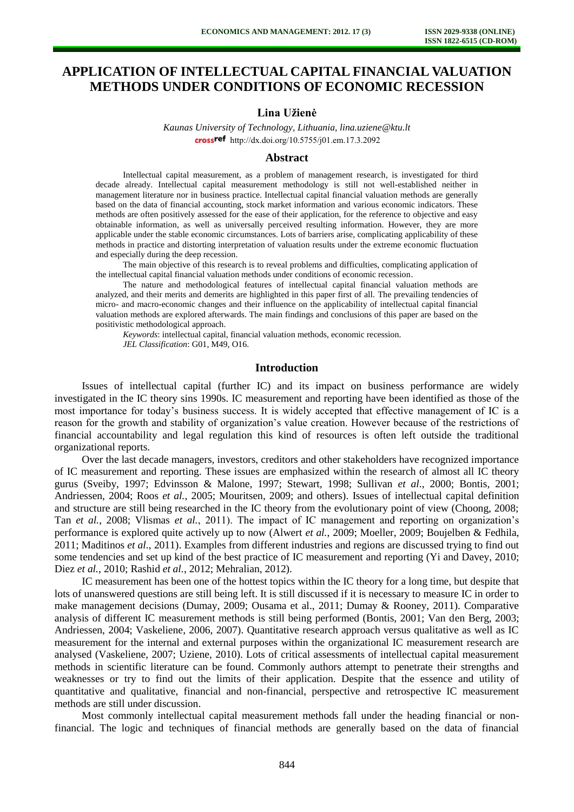# **APPLICATION OF INTELLECTUAL CAPITAL FINANCIAL VALUATION METHODS UNDER CONDITIONS OF ECONOMIC RECESSION**

## **Lina Užienė**

*Kaunas University of Technology, Lithuania, lina.uziene@ktu.lt* [http://dx.doi.org/10.5755/j01.e](http://dx.doi.org/10.5755/j01.em.17.3.2092)m.17.3.2092

### **Abstract**

Intellectual capital measurement, as a problem of management research, is investigated for third decade already. Intellectual capital measurement methodology is still not well-established neither in management literature nor in business practice. Intellectual capital financial valuation methods are generally based on the data of financial accounting, stock market information and various economic indicators. These methods are often positively assessed for the ease of their application, for the reference to objective and easy obtainable information, as well as universally perceived resulting information. However, they are more applicable under the stable economic circumstances. Lots of barriers arise, complicating applicability of these methods in practice and distorting interpretation of valuation results under the extreme economic fluctuation and especially during the deep recession.

The main objective of this research is to reveal problems and difficulties, complicating application of the intellectual capital financial valuation methods under conditions of economic recession.

The nature and methodological features of intellectual capital financial valuation methods are analyzed, and their merits and demerits are highlighted in this paper first of all. The prevailing tendencies of micro- and macro-economic changes and their influence on the applicability of intellectual capital financial valuation methods are explored afterwards. The main findings and conclusions of this paper are based on the positivistic methodological approach.

*Keywords*: intellectual capital, financial valuation methods, economic recession. *JEL Classification*: G01, M49, O16.

#### **Introduction**

Issues of intellectual capital (further IC) and its impact on business performance are widely investigated in the IC theory sins 1990s. IC measurement and reporting have been identified as those of the most importance for today's business success. It is widely accepted that effective management of IC is a reason for the growth and stability of organization's value creation. However because of the restrictions of financial accountability and legal regulation this kind of resources is often left outside the traditional organizational reports.

Over the last decade managers, investors, creditors and other stakeholders have recognized importance of IC measurement and reporting. These issues are emphasized within the research of almost all IC theory gurus (Sveiby, 1997; Edvinsson & Malone, 1997; Stewart, 1998; Sullivan *et al*., 2000; Bontis, 2001; Andriessen, 2004; Roos *et al.*, 2005; Mouritsen, 2009; and others). Issues of intellectual capital definition and structure are still being researched in the IC theory from the evolutionary point of view (Choong, 2008; Tan *et al.*, 2008; Vlismas *et al.*, 2011). The impact of IC management and reporting on organization's performance is explored quite actively up to now (Alwert *et al.*, 2009; Moeller, 2009; Boujelben & Fedhila, 2011; Maditinos *et al.*, 2011). Examples from different industries and regions are discussed trying to find out some tendencies and set up kind of the best practice of IC measurement and reporting (Yi and Davey, 2010; Diez *et al.*, 2010; Rashid *et al.*, 2012; Mehralian, 2012).

IC measurement has been one of the hottest topics within the IC theory for a long time, but despite that lots of unanswered questions are still being left. It is still discussed if it is necessary to measure IC in order to make management decisions (Dumay, 2009; Ousama et al., 2011; Dumay & Rooney, 2011). Comparative analysis of different IC measurement methods is still being performed (Bontis, 2001; Van den Berg, 2003; Andriessen, 2004; Vaskeliene, 2006, 2007). Quantitative research approach versus qualitative as well as IC measurement for the internal and external purposes within the organizational IC measurement research are analysed (Vaskeliene, 2007; Uziene, 2010). Lots of critical assessments of intellectual capital measurement methods in scientific literature can be found. Commonly authors attempt to penetrate their strengths and weaknesses or try to find out the limits of their application. Despite that the essence and utility of quantitative and qualitative, financial and non-financial, perspective and retrospective IC measurement methods are still under discussion.

Most commonly intellectual capital measurement methods fall under the heading financial or nonfinancial. The logic and techniques of financial methods are generally based on the data of financial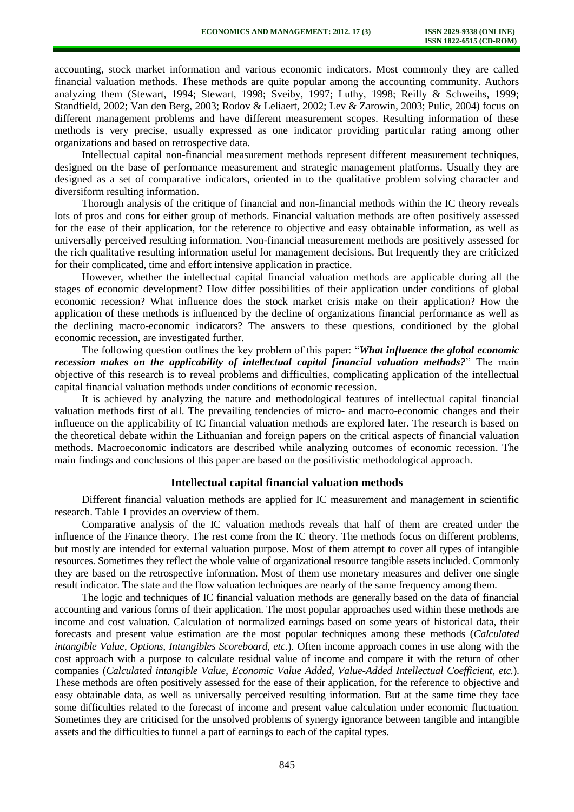accounting, stock market information and various economic indicators. Most commonly they are called financial valuation methods. These methods are quite popular among the accounting community. Authors analyzing them (Stewart, 1994; Stewart, 1998; Sveiby, 1997; Luthy, 1998; Reilly & Schweihs, 1999; Standfield, 2002; Van den Berg, 2003; Rodov & Leliaert, 2002; Lev & Zarowin, 2003; Pulic, 2004) focus on different management problems and have different measurement scopes. Resulting information of these methods is very precise, usually expressed as one indicator providing particular rating among other organizations and based on retrospective data.

Intellectual capital non-financial measurement methods represent different measurement techniques, designed on the base of performance measurement and strategic management platforms. Usually they are designed as a set of comparative indicators, oriented in to the qualitative problem solving character and diversiform resulting information.

Thorough analysis of the critique of financial and non-financial methods within the IC theory reveals lots of pros and cons for either group of methods. Financial valuation methods are often positively assessed for the ease of their application, for the reference to objective and easy obtainable information, as well as universally perceived resulting information. Non-financial measurement methods are positively assessed for the rich qualitative resulting information useful for management decisions. But frequently they are criticized for their complicated, time and effort intensive application in practice.

However, whether the intellectual capital financial valuation methods are applicable during all the stages of economic development? How differ possibilities of their application under conditions of global economic recession? What influence does the stock market crisis make on their application? How the application of these methods is influenced by the decline of organizations financial performance as well as the declining macro-economic indicators? The answers to these questions, conditioned by the global economic recession, are investigated further.

The following question outlines the key problem of this paper: "*What influence the global economic recession makes on the applicability of intellectual capital financial valuation methods?*" The main objective of this research is to reveal problems and difficulties, complicating application of the intellectual capital financial valuation methods under conditions of economic recession.

It is achieved by analyzing the nature and methodological features of intellectual capital financial valuation methods first of all. The prevailing tendencies of micro- and macro-economic changes and their influence on the applicability of IC financial valuation methods are explored later. The research is based on the theoretical debate within the Lithuanian and foreign papers on the critical aspects of financial valuation methods. Macroeconomic indicators are described while analyzing outcomes of economic recession. The main findings and conclusions of this paper are based on the positivistic methodological approach.

#### **Intellectual capital financial valuation methods**

Different financial valuation methods are applied for IC measurement and management in scientific research. Table 1 provides an overview of them.

Comparative analysis of the IC valuation methods reveals that half of them are created under the influence of the Finance theory. The rest come from the IC theory. The methods focus on different problems, but mostly are intended for external valuation purpose. Most of them attempt to cover all types of intangible resources. Sometimes they reflect the whole value of organizational resource tangible assets included. Commonly they are based on the retrospective information. Most of them use monetary measures and deliver one single result indicator. The state and the flow valuation techniques are nearly of the same frequency among them.

The logic and techniques of IC financial valuation methods are generally based on the data of financial accounting and various forms of their application. The most popular approaches used within these methods are income and cost valuation. Calculation of normalized earnings based on some years of historical data, their forecasts and present value estimation are the most popular techniques among these methods (*Calculated intangible Value, Options, Intangibles Scoreboard, etc.*). Often income approach comes in use along with the cost approach with a purpose to calculate residual value of income and compare it with the return of other companies (*Calculated intangible Value, Economic Value Added, Value-Added Intellectual Coefficient, etc.*). These methods are often positively assessed for the ease of their application, for the reference to objective and easy obtainable data, as well as universally perceived resulting information. But at the same time they face some difficulties related to the forecast of income and present value calculation under economic fluctuation. Sometimes they are criticised for the unsolved problems of synergy ignorance between tangible and intangible assets and the difficulties to funnel a part of earnings to each of the capital types.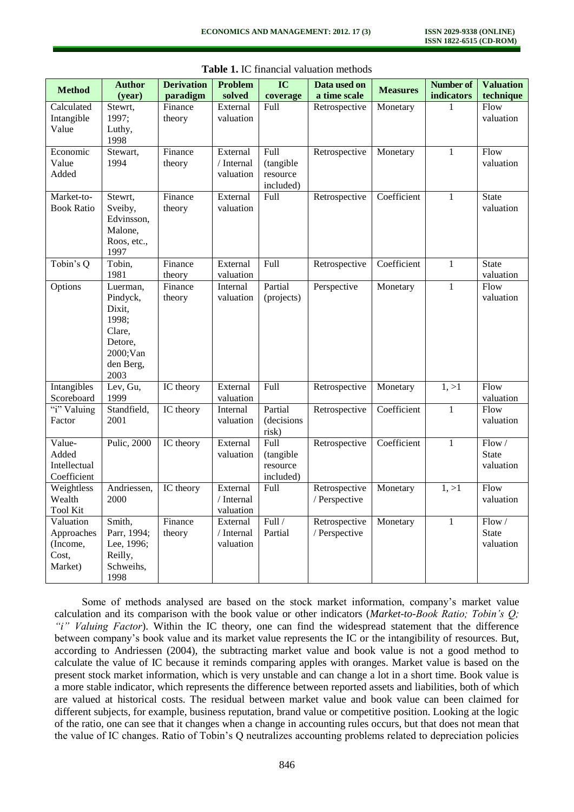| <b>Method</b>                                           | <b>Author</b><br>(year)                                                                       | <b>Derivation</b><br>paradigm | <b>Problem</b><br>solved            | $\overline{\text{IC}}$<br>coverage                | Data used on<br>a time scale   | <b>Measures</b> | <b>Number of</b><br>indicators | <b>Valuation</b><br>technique      |
|---------------------------------------------------------|-----------------------------------------------------------------------------------------------|-------------------------------|-------------------------------------|---------------------------------------------------|--------------------------------|-----------------|--------------------------------|------------------------------------|
| Calculated<br>Intangible<br>Value                       | Stewrt,<br>1997;<br>Luthy,<br>1998                                                            | Finance<br>theory             | External<br>valuation               | Full                                              | Retrospective                  | Monetary        | 1                              | Flow<br>valuation                  |
| Economic<br>Value<br>Added                              | Stewart,<br>1994                                                                              | Finance<br>theory             | External<br>/ Internal<br>valuation | <b>Full</b><br>(tangible<br>resource<br>included) | Retrospective                  | Monetary        | 1                              | Flow<br>valuation                  |
| Market-to-<br><b>Book Ratio</b>                         | Stewrt,<br>Sveiby,<br>Edvinsson,<br>Malone,<br>Roos, etc.,<br>1997                            | Finance<br>theory             | External<br>valuation               | <b>Full</b>                                       | Retrospective                  | Coefficient     | 1                              | <b>State</b><br>valuation          |
| Tobin's Q                                               | Tobin,<br>1981                                                                                | Finance<br>theory             | External<br>valuation               | <b>Full</b>                                       | Retrospective                  | Coefficient     | $\mathbf{1}$                   | <b>State</b><br>valuation          |
| Options                                                 | Luerman,<br>Pindyck,<br>Dixit,<br>1998;<br>Clare,<br>Detore,<br>2000;Van<br>den Berg,<br>2003 | Finance<br>theory             | Internal<br>valuation               | Partial<br>(projects)                             | Perspective                    | Monetary        | $\mathbf{1}$                   | Flow<br>valuation                  |
| Intangibles<br>Scoreboard                               | Lev, Gu,<br>1999                                                                              | IC theory                     | External<br>valuation               | Full                                              | Retrospective                  | Monetary        | 1, >1                          | Flow<br>valuation                  |
| "i" Valuing<br>Factor                                   | Standfield,<br>2001                                                                           | IC theory                     | Internal<br>valuation               | Partial<br>(decisions<br>risk)                    | Retrospective                  | Coefficient     | $\mathbf{1}$                   | Flow<br>valuation                  |
| Value-<br>Added<br>Intellectual<br>Coefficient          | Pulic, 2000                                                                                   | IC theory                     | External<br>valuation               | Full<br>(tangible<br>resource<br>included)        | Retrospective                  | Coefficient     | $\mathbf{1}$                   | Flow/<br><b>State</b><br>valuation |
| Weightless<br>Wealth<br><b>Tool Kit</b>                 | Andriessen,<br>2000                                                                           | IC theory                     | External<br>/ Internal<br>valuation | Full                                              | Retrospective<br>/ Perspective | Monetary        | 1, >1                          | Flow<br>valuation                  |
| Valuation<br>Approaches<br>(Income,<br>Cost,<br>Market) | Smith,<br>Parr, 1994;<br>Lee, 1996;<br>Reilly,<br>Schweihs,<br>1998                           | Finance<br>theory             | External<br>/ Internal<br>valuation | Full /<br>Partial                                 | Retrospective<br>/ Perspective | Monetary        | 1                              | Flow/<br><b>State</b><br>valuation |

**Table 1.** IC financial valuation methods

Some of methods analysed are based on the stock market information, company's market value calculation and its comparison with the book value or other indicators (*Market-to-Book Ratio; Tobin's Q; "i" Valuing Factor*). Within the IC theory, one can find the widespread statement that the difference between company's book value and its market value represents the IC or the intangibility of resources. But, according to Andriessen (2004), the subtracting market value and book value is not a good method to calculate the value of IC because it reminds comparing apples with oranges. Market value is based on the present stock market information, which is very unstable and can change a lot in a short time. Book value is a more stable indicator, which represents the difference between reported assets and liabilities, both of which are valued at historical costs. The residual between market value and book value can been claimed for different subjects, for example, business reputation, brand value or competitive position. Looking at the logic of the ratio, one can see that it changes when a change in accounting rules occurs, but that does not mean that the value of IC changes. Ratio of Tobin's Q neutralizes accounting problems related to depreciation policies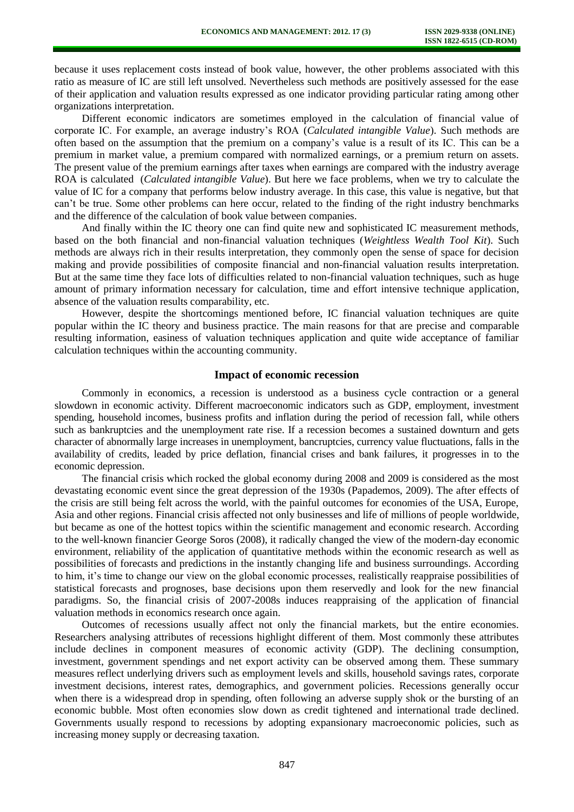because it uses replacement costs instead of book value, however, the other problems associated with this ratio as measure of IC are still left unsolved. Nevertheless such methods are positively assessed for the ease of their application and valuation results expressed as one indicator providing particular rating among other organizations interpretation.

Different economic indicators are sometimes employed in the calculation of financial value of corporate IC. For example, an average industry's ROA (*Calculated intangible Value*). Such methods are often based on the assumption that the premium on a company's value is a result of its IC. This can be a premium in market value, a premium compared with normalized earnings, or a premium return on assets. The present value of the premium earnings after taxes when earnings are compared with the industry average ROA is calculated (*Calculated intangible Value*). But here we face problems, when we try to calculate the value of IC for a company that performs below industry average. In this case, this value is negative, but that can't be true. Some other problems can here occur, related to the finding of the right industry benchmarks and the difference of the calculation of book value between companies.

And finally within the IC theory one can find quite new and sophisticated IC measurement methods, based on the both financial and non-financial valuation techniques (*Weightless Wealth Tool Kit*). Such methods are always rich in their results interpretation, they commonly open the sense of space for decision making and provide possibilities of composite financial and non-financial valuation results interpretation. But at the same time they face lots of difficulties related to non-financial valuation techniques, such as huge amount of primary information necessary for calculation, time and effort intensive technique application, absence of the valuation results comparability, etc.

However, despite the shortcomings mentioned before, IC financial valuation techniques are quite popular within the IC theory and business practice. The main reasons for that are precise and comparable resulting information, easiness of valuation techniques application and quite wide acceptance of familiar calculation techniques within the accounting community.

## **Impact of economic recession**

Commonly in economics, a recession is understood as a business cycle contraction or a general slowdown in economic activity. Different macroeconomic indicators such as GDP, employment, investment spending, household incomes, business profits and inflation during the period of recession fall, while others such as bankruptcies and the unemployment rate rise. If a recession becomes a sustained downturn and gets character of abnormally large increases in unemployment, bancruptcies, currency value fluctuations, falls in the availability of credits, leaded by price deflation, financial crises and bank failures, it progresses in to the economic depression.

The financial crisis which rocked the global economy during 2008 and 2009 is considered as the most devastating economic event since the great depression of the 1930s (Papademos, 2009). The after effects of the crisis are still being felt across the world, with the painful outcomes for economies of the USA, Europe, Asia and other regions. Financial crisis affected not only businesses and life of millions of people worldwide, but became as one of the hottest topics within the scientific management and economic research. According to the well-known financier George Soros (2008), it radically changed the view of the modern-day economic environment, reliability of the application of quantitative methods within the economic research as well as possibilities of forecasts and predictions in the instantly changing life and business surroundings. According to him, it's time to change our view on the global economic processes, realistically reappraise possibilities of statistical forecasts and prognoses, base decisions upon them reservedly and look for the new financial paradigms. So, the financial crisis of 2007-2008s induces reappraising of the application of financial valuation methods in economics research once again.

Outcomes of recessions usually affect not only the financial markets, but the entire economies. Researchers analysing attributes of recessions highlight different of them. Most commonly these attributes include declines in component measures of economic activity (GDP). The declining consumption, investment, government spendings and net export activity can be observed among them. These summary measures reflect underlying drivers such as employment levels and skills, household savings rates, corporate investment decisions, interest rates, demographics, and government policies. Recessions generally occur when there is a widespread drop in spending, often following an adverse supply shok or the bursting of an economic bubble. Most often economies slow down as credit tightened and international trade declined. Governments usually respond to recessions by adopting expansionary macroeconomic policies, such as increasing money supply or decreasing taxation.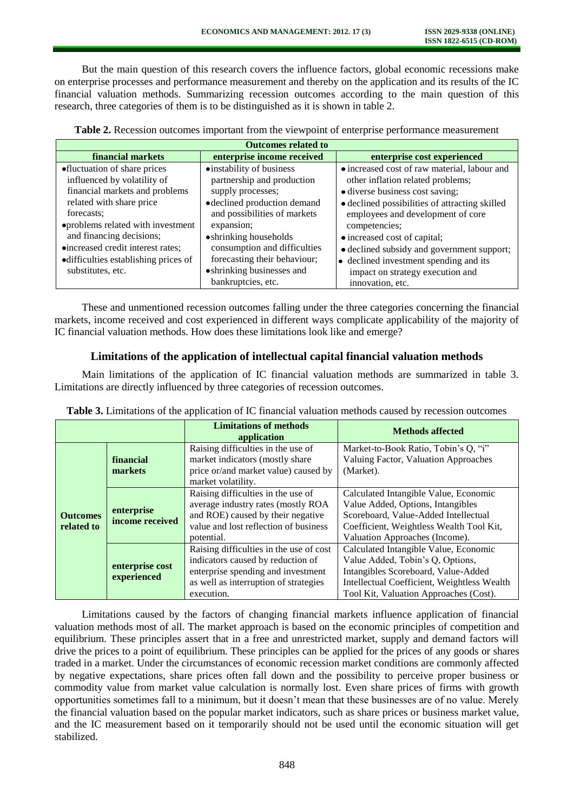But the main question of this research covers the influence factors, global economic recessions make on enterprise processes and performance measurement and thereby on the application and its results of the IC financial valuation methods. Summarizing recession outcomes according to the main question of this research, three categories of them is to be distinguished as it is shown in table 2.

| <b>Table 2.</b> Recession outcomes important from the viewpoint of enterprise performance measurement |  |  |  |  |
|-------------------------------------------------------------------------------------------------------|--|--|--|--|
|-------------------------------------------------------------------------------------------------------|--|--|--|--|

| <b>Outcomes related to</b>            |                              |                                                |  |  |  |
|---------------------------------------|------------------------------|------------------------------------------------|--|--|--|
| financial markets                     | enterprise income received   | enterprise cost experienced                    |  |  |  |
| •fluctuation of share prices          | • instability of business    | • increased cost of raw material, labour and   |  |  |  |
| influenced by volatility of           | partnership and production   | other inflation related problems;              |  |  |  |
| financial markets and problems        | supply processes;            | • diverse business cost saving;                |  |  |  |
| related with share price              | · declined production demand | • declined possibilities of attracting skilled |  |  |  |
| forecasts:                            | and possibilities of markets | employees and development of core              |  |  |  |
| • problems related with investment    | expansion;                   | competencies;                                  |  |  |  |
| and financing decisions;              | • shrinking households       | • increased cost of capital;                   |  |  |  |
| •increased credit interest rates;     | consumption and difficulties | • declined subsidy and government support;     |  |  |  |
| • difficulties establishing prices of | forecasting their behaviour; | • declined investment spending and its         |  |  |  |
| substitutes, etc.                     | • shrinking businesses and   | impact on strategy execution and               |  |  |  |
|                                       | bankruptcies, etc.           | innovation, etc.                               |  |  |  |

These and unmentioned recession outcomes falling under the three categories concerning the financial markets, income received and cost experienced in different ways complicate applicability of the majority of IC financial valuation methods. How does these limitations look like and emerge?

## **Limitations of the application of intellectual capital financial valuation methods**

Main limitations of the application of IC financial valuation methods are summarized in table 3. Limitations are directly influenced by three categories of recession outcomes.

|                               |                                | <b>Limitations of methods</b><br>application                                                                                                                              | <b>Methods affected</b>                                                                                                                                                                                   |  |
|-------------------------------|--------------------------------|---------------------------------------------------------------------------------------------------------------------------------------------------------------------------|-----------------------------------------------------------------------------------------------------------------------------------------------------------------------------------------------------------|--|
| <b>Outcomes</b><br>related to | financial                      | Raising difficulties in the use of<br>market indicators (mostly share                                                                                                     | Market-to-Book Ratio, Tobin's Q, "i"<br>Valuing Factor, Valuation Approaches                                                                                                                              |  |
|                               | markets                        | price or/and market value) caused by<br>market volatility.                                                                                                                | (Market).                                                                                                                                                                                                 |  |
|                               | enterprise<br>income received  | Raising difficulties in the use of<br>average industry rates (mostly ROA<br>and ROE) caused by their negative<br>value and lost reflection of business<br>potential.      | Calculated Intangible Value, Economic<br>Value Added, Options, Intangibles<br>Scoreboard, Value-Added Intellectual<br>Coefficient, Weightless Wealth Tool Kit,<br>Valuation Approaches (Income).          |  |
|                               | enterprise cost<br>experienced | Raising difficulties in the use of cost<br>indicators caused by reduction of<br>enterprise spending and investment<br>as well as interruption of strategies<br>execution. | Calculated Intangible Value, Economic<br>Value Added, Tobin's Q, Options,<br>Intangibles Scoreboard, Value-Added<br>Intellectual Coefficient, Weightless Wealth<br>Tool Kit, Valuation Approaches (Cost). |  |

**Table 3.** Limitations of the application of IC financial valuation methods caused by recession outcomes

Limitations caused by the factors of changing financial markets influence application of financial valuation methods most of all. The market approach is based on the economic principles of competition and equilibrium. These principles assert that in a free and unrestricted market, supply and demand factors will drive the prices to a point of equilibrium. These principles can be applied for the prices of any goods or shares traded in a market. Under the circumstances of economic recession market conditions are commonly affected by negative expectations, share prices often fall down and the possibility to perceive proper business or commodity value from market value calculation is normally lost. Even share prices of firms with growth opportunities sometimes fall to a minimum, but it doesn't mean that these businesses are of no value. Merely the financial valuation based on the popular market indicators, such as share prices or business market value, and the IC measurement based on it temporarily should not be used until the economic situation will get stabilized.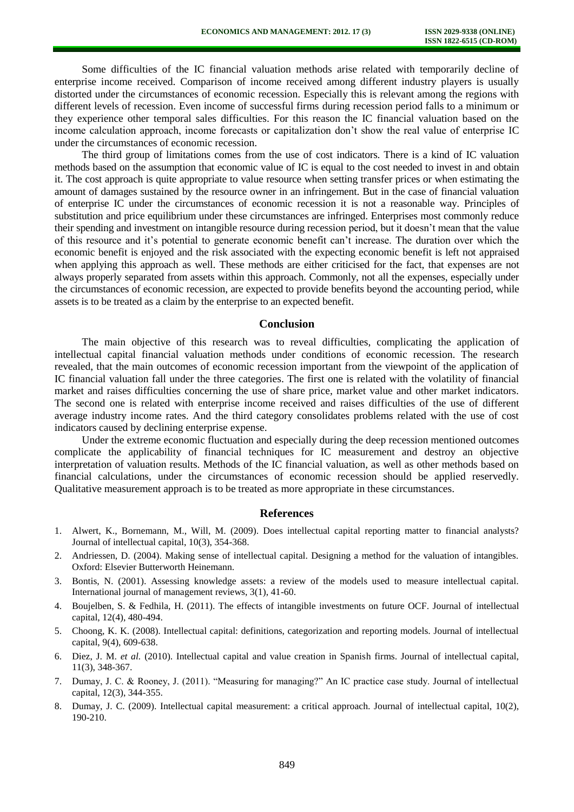Some difficulties of the IC financial valuation methods arise related with temporarily decline of enterprise income received. Comparison of income received among different industry players is usually distorted under the circumstances of economic recession. Especially this is relevant among the regions with different levels of recession. Even income of successful firms during recession period falls to a minimum or they experience other temporal sales difficulties. For this reason the IC financial valuation based on the income calculation approach, income forecasts or capitalization don't show the real value of enterprise IC under the circumstances of economic recession.

The third group of limitations comes from the use of cost indicators. There is a kind of IC valuation methods based on the assumption that economic value of IC is equal to the cost needed to invest in and obtain it. The cost approach is quite appropriate to value resource when setting transfer prices or when estimating the amount of damages sustained by the resource owner in an infringement. But in the case of financial valuation of enterprise IC under the circumstances of economic recession it is not a reasonable way. Principles of substitution and price equilibrium under these circumstances are infringed. Enterprises most commonly reduce their spending and investment on intangible resource during recession period, but it doesn't mean that the value of this resource and it's potential to generate economic benefit can't increase. The duration over which the economic benefit is enjoyed and the risk associated with the expecting economic benefit is left not appraised when applying this approach as well. These methods are either criticised for the fact, that expenses are not always properly separated from assets within this approach. Commonly, not all the expenses, especially under the circumstances of economic recession, are expected to provide benefits beyond the accounting period, while assets is to be treated as a claim by the enterprise to an expected benefit.

#### **Conclusion**

The main objective of this research was to reveal difficulties, complicating the application of intellectual capital financial valuation methods under conditions of economic recession. The research revealed, that the main outcomes of economic recession important from the viewpoint of the application of IC financial valuation fall under the three categories. The first one is related with the volatility of financial market and raises difficulties concerning the use of share price, market value and other market indicators. The second one is related with enterprise income received and raises difficulties of the use of different average industry income rates. And the third category consolidates problems related with the use of cost indicators caused by declining enterprise expense.

Under the extreme economic fluctuation and especially during the deep recession mentioned outcomes complicate the applicability of financial techniques for IC measurement and destroy an objective interpretation of valuation results. Methods of the IC financial valuation, as well as other methods based on financial calculations, under the circumstances of economic recession should be applied reservedly. Qualitative measurement approach is to be treated as more appropriate in these circumstances.

#### **References**

- 1. Alwert, K., Bornemann, M., Will, M. (2009). Does intellectual capital reporting matter to financial analysts? Journal of intellectual capital, 10(3), 354-368.
- 2. Andriessen, D. (2004). Making sense of intellectual capital. Designing a method for the valuation of intangibles. Oxford: Elsevier Butterworth Heinemann.
- 3. Bontis, N. (2001). Assessing knowledge assets: a review of the models used to measure intellectual capital. International journal of management reviews, 3(1), 41-60.
- 4. Boujelben, S. & Fedhila, H. (2011). The effects of intangible investments on future OCF. Journal of intellectual capital, 12(4), 480-494.
- 5. Choong, K. K. (2008). Intellectual capital: definitions, categorization and reporting models. Journal of intellectual capital, 9(4), 609-638.
- 6. Diez, J. M. *et al.* (2010). Intellectual capital and value creation in Spanish firms. Journal of intellectual capital, 11(3), 348-367.
- 7. Dumay, J. C. & Rooney, J. (2011). "Measuring for managing?" An IC practice case study. Journal of intellectual capital, 12(3), 344-355.
- 8. Dumay, J. C. (2009). Intellectual capital measurement: a critical approach. Journal of intellectual capital, 10(2), 190-210.